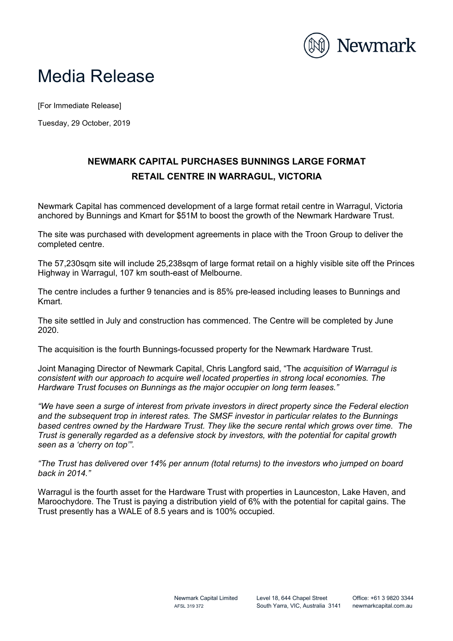

## Media Release

[For Immediate Release]

Tuesday, 29 October, 2019

## **NEWMARK CAPITAL PURCHASES BUNNINGS LARGE FORMAT RETAIL CENTRE IN WARRAGUL, VICTORIA**

Newmark Capital has commenced development of a large format retail centre in Warragul, Victoria anchored by Bunnings and Kmart for \$51M to boost the growth of the Newmark Hardware Trust.

The site was purchased with development agreements in place with the Troon Group to deliver the completed centre.

The 57,230sqm site will include 25,238sqm of large format retail on a highly visible site off the Princes Highway in Warragul, 107 km south-east of Melbourne.

The centre includes a further 9 tenancies and is 85% pre-leased including leases to Bunnings and Kmart.

The site settled in July and construction has commenced. The Centre will be completed by June 2020.

The acquisition is the fourth Bunnings-focussed property for the Newmark Hardware Trust.

Joint Managing Director of Newmark Capital, Chris Langford said, "The *acquisition of Warragul is consistent with our approach to acquire well located properties in strong local economies. The Hardware Trust focuses on Bunnings as the major occupier on long term leases."*

*"We have seen a surge of interest from private investors in direct property since the Federal election and the subsequent trop in interest rates. The SMSF investor in particular relates to the Bunnings based centres owned by the Hardware Trust. They like the secure rental which grows over time. The Trust is generally regarded as a defensive stock by investors, with the potential for capital growth seen as a 'cherry on top'".* 

*"The Trust has delivered over 14% per annum (total returns) to the investors who jumped on board back in 2014."*

Warragul is the fourth asset for the Hardware Trust with properties in Launceston, Lake Haven, and Maroochydore. The Trust is paying a distribution yield of 6% with the potential for capital gains. The Trust presently has a WALE of 8.5 years and is 100% occupied.